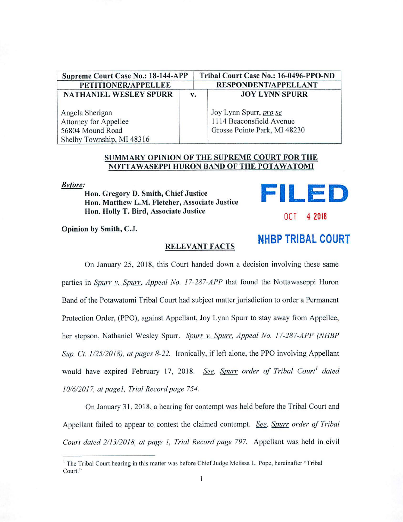| Supreme Court Case No.: 18-144-APP |    | Tribal Court Case No.: 16-0496-PPO-ND |
|------------------------------------|----|---------------------------------------|
| PETITIONER/APPELLEE                |    | <b>RESPONDENT/APPELLANT</b>           |
| <b>NATHANIEL WESLEY SPURR</b>      | v. | <b>JOY LYNN SPURR</b>                 |
| Angela Sherigan                    |    | Joy Lynn Spurr, <i>pro se</i>         |
| Attorney for Appellee              |    | 1114 Beaconsfield Avenue              |
| 56804 Mound Road                   |    | Grosse Pointe Park, MI 48230          |
| Shelby Township, MI 48316          |    |                                       |

## **SUMMARY OPINlON OF THE SUPREME COURT FOR THE NOTTAWASEPPI HURON BAND OF THE POTAWATOMI**

*Before:* 

Hon. Gregory D. Smith, Chief Justice Hon. Matthew L.M. Fletcher, Associate Justice Hon. Holly T. Bird, Associate Justice

Opinion by Smith, C.J.

## **RELEVANT FACTS**

On January 25, 2018, this Court handed down a decision involving these same parties in *Spurr v. Spurr, Appeal No. 17-287-APP* that found the Nottawaseppi Huron Band of the Potawatomi Tribal Court had subject matter jurisdiction to order a Permanent Protection Order, (PPO), against Appellant, Joy Lynn Spurr to stay away from Appellee, her stepson, Nathaniel Wesley Spurr. *Spurr v. Spurr, Appeal No. 17-287-APP (NHEP Sup. Ct. 1/25/2018), at pages 8-22.* Ironically, if left alone, the PPO involving Appellant would have expired February 17, 2018. *See, Spurr order of Tribal Court' dated 10/6/2017, at page/, Trial Record page 754.* 

On January 31, 2018, a hearing for contempt was held before the Tribal Court and Appellant failed to appear to contest the claimed contempt. *See, Spurr order of Tribal Court dated 2/ 13/2018, at page I, Trial Record page 797.* Appellant was held in civil

**NHBP TRIBAL COURT** 

**FILED** 

*OC T* 4 2018

 $<sup>1</sup>$  The Tribal Court hearing in this matter was before Chief Judge Melissa L. Pope, hereinafter "Tribal"</sup> Court."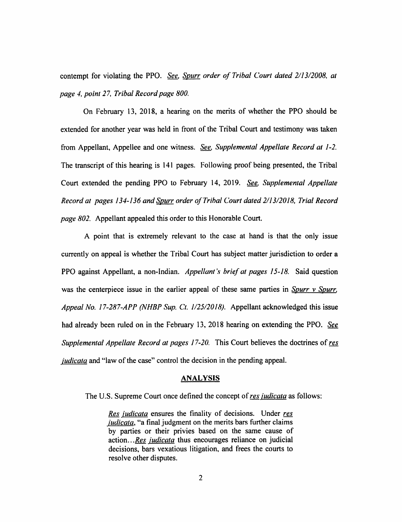contempt for violating the PPO. *See. Spurr order of Tribal Court dated 2113/2008, at page 4, point 27, Tribal Record page 800.* 

On February 13, 2018, a hearing on the merits of whether the PPO should be extended for another year was held in front of the Tribal Court and testimony was taken from Appellant, Appellee and one witness. *See, Supplemental Appellate Record at 1-2.*  The transcript of this hearing is 141 pages. Following proof being presented, the Tribal Court extended the pending PPO to February 14, 2019. *See. Supplemental Appellate Record at pages 134-136 and Spurr order of Tribal Court dated 2/13/2018, Trial Record page 802.* Appellant appealed this order to this Honorable Court.

A point that is extremely relevant to the case at hand is that the only issue currently on appeal is whether the Tribal Court has subject matter jurisdiction to order a PPO against Appellant, a non-Indian. *Appellant's brief at pages 15-18.* Said question was the centerpiece issue in the earlier appeal of these same parties in *Spurr v Spurr. Appeal No. 17-287-APP (NHBP Sup. Ct. 1/25/2018).* Appellant acknowledged this issue had already been ruled on in the February 13, 2018 hearing on extending the PPO. *See Supplemental Appellate Record at pages 17-20.* This Court believes the doctrines of *res iudicata* and "law of the case" control the decision in the pending appeal.

## **ANALYSIS**

The U.S. Supreme Court once defined the concept of *res iudicata* as follows:

*Res iudicata* ensures the finality of decisions. Under *res iudicata,* "a final judgment on the merits bars further claims by parties or their privies based on the same cause of action .. *. Res iudicata* thus encourages reliance on judicial decisions, bars vexatious litigation, and frees the courts to resolve other disputes.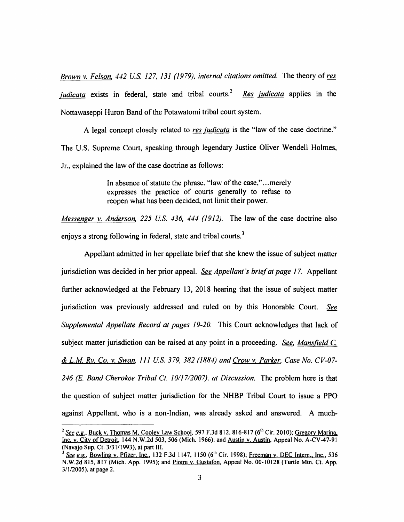*Brown v. Felson. 442 U.S. 127, 131 (1979), internal citations omitted.* The theory of *res iudicata* exists in federal, state and tribal courts.<sup>2</sup> *Res judicata* applies in the Nottawaseppi Huron Band of the Potawatomi tribal court system.

A legal concept closely related to *res iudicata* is the "law of the case doctrine." The U.S. Supreme Court, speaking through legendary Justice Oliver Wendell Holmes, Jr., explained the law of the case doctrine as follows:

> In absence of statute the phrase, "law of the case,"...merely expresses the practice of courts generally to refuse to reopen what has been decided, not limit their power.

*Messenger v. Anderson. 225 U.S. 436, 444 (1912).* The law of the case doctrine also enjoys a strong following in federal, state and tribal courts.<sup>3</sup>

Appellant admitted in her appellate brief that she knew the issue of subject matter jurisdiction was decided in her prior appeal. *See Appellant's brief at page 17.* Appellant further acknowledged at the February 13, 2018 hearing that the issue of subject matter jurisdiction was previously addressed and ruled on by this Honorable Court. *See Supplemental Appellate Record at pages 19-20.* This Court acknowledges that lack of subject matter jurisdiction can be raised at any point in a proceeding. *See. Mansfield* C. *& L.M Ry, Co. v. Swan, 111 U.S. 379, 382 (1884) and Crow v. Parker. Case No. CV-07- 246 (E. Band Cherokee Tribal Ct. 10//7/2007),* al *Discussion.* The problem here is that the question of subject matter jurisdiction for the NHBP Tribal Court to issue a PPO against Appellant, who is a non-Indian, was already asked and answered. A much-

<sup>&</sup>lt;sup>2</sup> See e.g., Buck v. Thomas M. Cooley Law School. 597 F.3d 812, 816-817 (6<sup>th</sup> Cir. 2010); Gregory Marina, Inc. v. City of Detroit, 144 N.W.2d 503, 506 (Mich. 1966); and Austin v. Austin, Appeal No. A-CV-47-91 (Navajo Sup. Ct. 3/31/1993), at part III.

See e.g., Bowling v. Pfizer. Inc., 132 F.3d 1147, 1150 (6<sup>th</sup> Cir. 1998); Freeman v. DEC Intern., Inc., 536 N.W.2d 815, 817 (Mich. App. 1995); and Piotra v. Gustafon, Appeal No. 00-10128 (Turtle Mtn. Ct. App. 3/1/2005), at page 2.